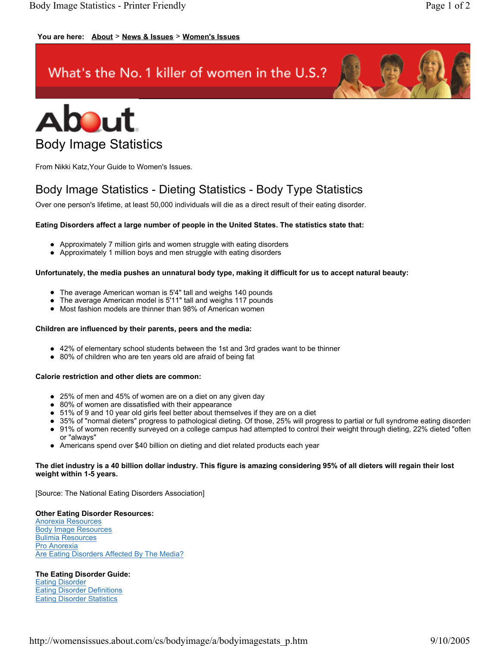# **You are here: About** > **News & Issues** > **Women's Issues**

# What's the No. 1 killer of women in the U.S.?





From Nikki Katz,Your Guide to Women's Issues.

# Body Image Statistics - Dieting Statistics - Body Type Statistics

Over one person's lifetime, at least 50,000 individuals will die as a direct result of their eating disorder.

# **Eating Disorders affect a large number of people in the United States. The statistics state that:**

- Approximately 7 million girls and women struggle with eating disorders
- Approximately 1 million boys and men struggle with eating disorders

#### **Unfortunately, the media pushes an unnatural body type, making it difficult for us to accept natural beauty:**

- The average American woman is 5'4" tall and weighs 140 pounds
- The average American model is 5'11" tall and weighs 117 pounds
- Most fashion models are thinner than 98% of American women

#### **Children are influenced by their parents, peers and the media:**

- 42% of elementary school students between the 1st and 3rd grades want to be thinner
- 80% of children who are ten years old are afraid of being fat

# **Calorie restriction and other diets are common:**

- 25% of men and 45% of women are on a diet on any given day
- 80% of women are dissatisfied with their appearance
- 51% of 9 and 10 year old girls feel better about themselves if they are on a diet
- 35% of "normal dieters" progress to pathological dieting. Of those, 25% will progress to partial or full syndrome eating disorders
- 91% of women recently surveyed on a college campus had attempted to control their weight through dieting, 22% dieted "often or "always"
- Americans spend over \$40 billion on dieting and diet related products each year

#### **The diet industry is a 40 billion dollar industry. This figure is amazing considering 95% of all dieters will regain their lost weight within 1-5 years.**

[Source: The National Eating Disorders Association]

# **Other Eating Disorder Resources:**

Anorexia Resources Body Image Resources Bulimia Resources **Pro Anorexia** Are Eating Disorders Affected By The Media?

# **The Eating Disorder Guide:**

Eating Disorder Eating Disorder Definitions Eating Disorder Statistics